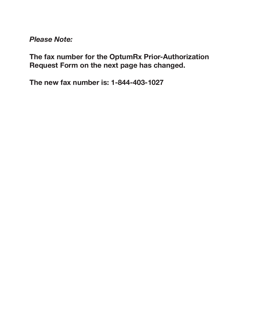*Please Note:*

**The fax number for the OptumRx Prior-Authorization Request Form on the next page has changed.**

**The new fax number is: 1-844-403-1027**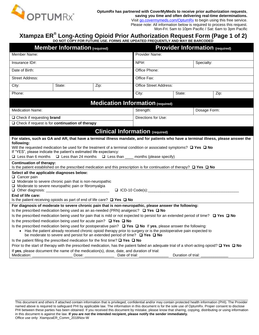

## **Xtampza ER® Long-Acting Opioid Prior Authorization Request Form (Page 1 of 2) DO NOT COPY FOR FUTURE USE. FORMS ARE UPDATED FREQUENTLY AND MAY BE BARCODED**

| <b>Member Information (required)</b>                                                                                                                                                                                                                                                                                                                                                                                                                                                                                                                                                                                                                                                                                                                                                                                                                                                                                                                                          |                                                                                                                                                                                                                                                                                                                                                                                                                                                        |                                                                                                                   | <b>Provider Information (required)</b>                                                                              |                    |            |      |
|-------------------------------------------------------------------------------------------------------------------------------------------------------------------------------------------------------------------------------------------------------------------------------------------------------------------------------------------------------------------------------------------------------------------------------------------------------------------------------------------------------------------------------------------------------------------------------------------------------------------------------------------------------------------------------------------------------------------------------------------------------------------------------------------------------------------------------------------------------------------------------------------------------------------------------------------------------------------------------|--------------------------------------------------------------------------------------------------------------------------------------------------------------------------------------------------------------------------------------------------------------------------------------------------------------------------------------------------------------------------------------------------------------------------------------------------------|-------------------------------------------------------------------------------------------------------------------|---------------------------------------------------------------------------------------------------------------------|--------------------|------------|------|
| Member Name:                                                                                                                                                                                                                                                                                                                                                                                                                                                                                                                                                                                                                                                                                                                                                                                                                                                                                                                                                                  |                                                                                                                                                                                                                                                                                                                                                                                                                                                        |                                                                                                                   | Provider Name:                                                                                                      |                    |            |      |
| Insurance ID#:                                                                                                                                                                                                                                                                                                                                                                                                                                                                                                                                                                                                                                                                                                                                                                                                                                                                                                                                                                |                                                                                                                                                                                                                                                                                                                                                                                                                                                        |                                                                                                                   | NPH:                                                                                                                |                    | Specialty: |      |
| Date of Birth:                                                                                                                                                                                                                                                                                                                                                                                                                                                                                                                                                                                                                                                                                                                                                                                                                                                                                                                                                                |                                                                                                                                                                                                                                                                                                                                                                                                                                                        |                                                                                                                   | Office Phone:                                                                                                       |                    |            |      |
| <b>Street Address:</b>                                                                                                                                                                                                                                                                                                                                                                                                                                                                                                                                                                                                                                                                                                                                                                                                                                                                                                                                                        |                                                                                                                                                                                                                                                                                                                                                                                                                                                        |                                                                                                                   | Office Fax:                                                                                                         |                    |            |      |
| City:                                                                                                                                                                                                                                                                                                                                                                                                                                                                                                                                                                                                                                                                                                                                                                                                                                                                                                                                                                         | State:                                                                                                                                                                                                                                                                                                                                                                                                                                                 | Zip:                                                                                                              | <b>Office Street Address:</b>                                                                                       |                    |            |      |
| Phone:                                                                                                                                                                                                                                                                                                                                                                                                                                                                                                                                                                                                                                                                                                                                                                                                                                                                                                                                                                        |                                                                                                                                                                                                                                                                                                                                                                                                                                                        |                                                                                                                   | City:                                                                                                               | State:             |            | Zip: |
|                                                                                                                                                                                                                                                                                                                                                                                                                                                                                                                                                                                                                                                                                                                                                                                                                                                                                                                                                                               |                                                                                                                                                                                                                                                                                                                                                                                                                                                        |                                                                                                                   | <b>Medication Information (required)</b>                                                                            |                    |            |      |
| <b>Medication Name:</b>                                                                                                                                                                                                                                                                                                                                                                                                                                                                                                                                                                                                                                                                                                                                                                                                                                                                                                                                                       |                                                                                                                                                                                                                                                                                                                                                                                                                                                        |                                                                                                                   | Strength:                                                                                                           | Dosage Form:       |            |      |
| $\Box$ Check if requesting <b>brand</b>                                                                                                                                                                                                                                                                                                                                                                                                                                                                                                                                                                                                                                                                                                                                                                                                                                                                                                                                       |                                                                                                                                                                                                                                                                                                                                                                                                                                                        | Directions for Use:                                                                                               |                                                                                                                     |                    |            |      |
| $\Box$ Check if request is for continuation of therapy                                                                                                                                                                                                                                                                                                                                                                                                                                                                                                                                                                                                                                                                                                                                                                                                                                                                                                                        |                                                                                                                                                                                                                                                                                                                                                                                                                                                        |                                                                                                                   |                                                                                                                     |                    |            |      |
|                                                                                                                                                                                                                                                                                                                                                                                                                                                                                                                                                                                                                                                                                                                                                                                                                                                                                                                                                                               |                                                                                                                                                                                                                                                                                                                                                                                                                                                        | <b>Clinical Information (required)</b>                                                                            |                                                                                                                     |                    |            |      |
| For states, such as GA and AR, that have a terminal illness mandate, and for patients who have a terminal illness, please answer the<br>following:<br>Will the requested medication be used for the treatment of a terminal condition or associated symptoms? $\Box$ Yes $\Box$ No<br>If "YES", please indicate the patient's estimated life expectancy:<br>$\Box$ Less than 6 months<br><b>Continuation of therapy:</b><br>Is the patient established on the prescribed medication and this prescription is for continuation of therapy? Q Yes Q No<br>Select all the applicable diagnoses below:<br>$\Box$ Cancer pain<br>$\Box$ Moderate to severe chronic pain that is non-neuropathic<br>$\Box$ Moderate to severe neuropathic pain or fibromyalgia<br>End of life care:<br>Is the patient receiving opioids as part of end of life care? $\Box$ Yes $\Box$ No<br>For diagnosis of moderate to severe chronic pain that is non-neuropathic, please answer the following: | $\Box$ Less than 24 months                                                                                                                                                                                                                                                                                                                                                                                                                             | $\Box$ Less than                                                                                                  | months (please specify)<br>$\Box$ ICD-10 Code(s):                                                                   |                    |            |      |
| Is the prescribed medication being used as an as-needed (PRN) analgesic? $\Box$ Yes $\Box$ No<br>Is the prescribed medication being used for pain that is mild or not expected to persist for an extended period of time? □ Yes □ No<br>Is the prescribed medication being used for acute pain? □ Yes □ No<br>Is the prescribed medication being used for postoperative pain? $\Box$ Yes $\Box$ No If yes, please answer the following:<br>Is the patient filling the prescribed medication for the first time? $\Box$ Yes $\Box$ No<br>Prior to the start of therapy with the prescribed medication, has the patient failed an adequate trial of a short-acting opioid? $\Box$ Yes $\Box$ No<br>If yes, please document the name of the medication(s), dose, date, and duration of trial:<br>Medication:                                                                                                                                                                     | $\label{eq:2.1} \frac{1}{\sqrt{2}}\left(\frac{1}{\sqrt{2}}\right)^{2} \left(\frac{1}{\sqrt{2}}\right)^{2} \left(\frac{1}{\sqrt{2}}\right)^{2} \left(\frac{1}{\sqrt{2}}\right)^{2} \left(\frac{1}{\sqrt{2}}\right)^{2} \left(\frac{1}{\sqrt{2}}\right)^{2} \left(\frac{1}{\sqrt{2}}\right)^{2} \left(\frac{1}{\sqrt{2}}\right)^{2} \left(\frac{1}{\sqrt{2}}\right)^{2} \left(\frac{1}{\sqrt{2}}\right)^{2} \left(\frac{1}{\sqrt{2}}\right)^{2} \left(\$ | be moderate to severe and persist for an extended period of time? $\Box$ Yes $\Box$ No<br>Date of trial:<br>Dose: | • Has the patient already received chronic opioid therapy prior to surgery or is the postoperative pain expected to | Duration of trial: |            |      |

This document and others if attached contain information that is privileged, confidential and/or may contain protected health information (PHI). The Provider named above is required to safeguard PHI by applicable law. The information in this document is for the sole use of OptumRx. Proper consent to disclose PHI between these parties has been obtained. If you received this document by mistake, please know that sharing, copying, distributing or using information in this document is against the law. **If you are not the intended recipient, please notify the sender immediately.** Office use only: XtampzaER\_Comm\_2018Nov-W

\_\_\_\_\_\_\_\_\_\_\_\_\_\_\_\_\_\_\_\_\_\_\_\_\_\_\_\_\_\_\_\_\_\_\_\_\_\_\_\_\_\_\_\_\_\_\_\_\_\_\_\_\_\_\_\_\_\_\_\_\_\_\_\_\_\_\_\_\_\_\_\_\_\_\_\_\_\_\_\_\_\_\_\_\_\_\_\_\_\_\_\_\_\_\_\_\_\_\_\_\_\_\_\_\_\_\_\_\_\_